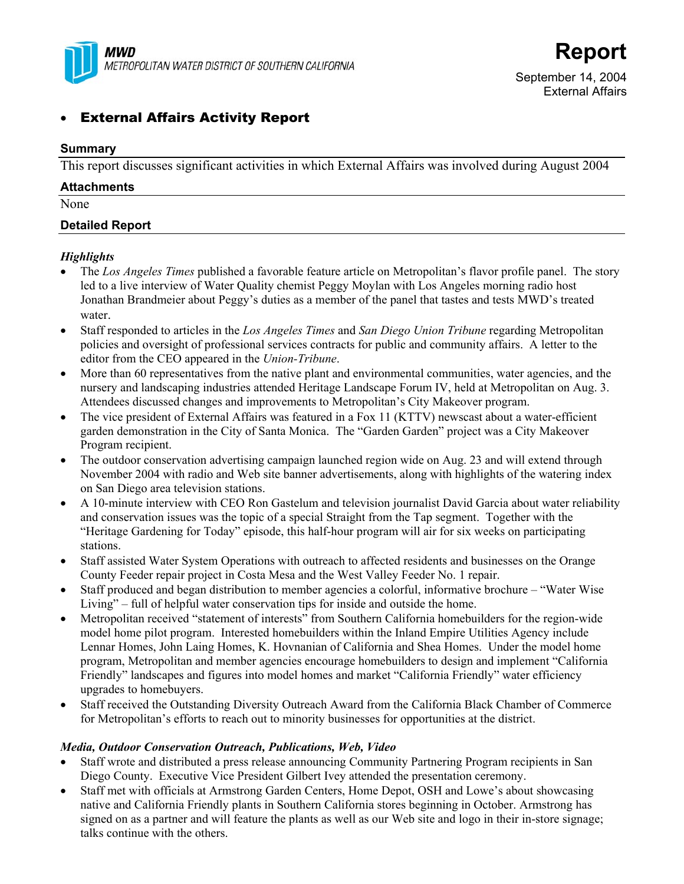

# **External Affairs Activity Report**

### **Summary**

This report discusses significant activities in which External Affairs was involved during August 2004

| <b>Attachments</b>     |  |  |
|------------------------|--|--|
| None                   |  |  |
| <b>Detailed Report</b> |  |  |

### *Highlights*

- The *Los Angeles Times* published a favorable feature article on Metropolitan's flavor profile panel. The story led to a live interview of Water Quality chemist Peggy Moylan with Los Angeles morning radio host Jonathan Brandmeier about Peggy's duties as a member of the panel that tastes and tests MWD's treated water.
- Staff responded to articles in the *Los Angeles Times* and *San Diego Union Tribune* regarding Metropolitan policies and oversight of professional services contracts for public and community affairs. A letter to the editor from the CEO appeared in the *Union-Tribune*.
- More than 60 representatives from the native plant and environmental communities, water agencies, and the nursery and landscaping industries attended Heritage Landscape Forum IV, held at Metropolitan on Aug. 3. Attendees discussed changes and improvements to Metropolitan's City Makeover program.
- The vice president of External Affairs was featured in a Fox 11 (KTTV) newscast about a water-efficient garden demonstration in the City of Santa Monica. The "Garden Garden" project was a City Makeover Program recipient.
- The outdoor conservation advertising campaign launched region wide on Aug. 23 and will extend through November 2004 with radio and Web site banner advertisements, along with highlights of the watering index on San Diego area television stations.
- A 10-minute interview with CEO Ron Gastelum and television journalist David Garcia about water reliability and conservation issues was the topic of a special Straight from the Tap segment. Together with the "Heritage Gardening for Today" episode, this half-hour program will air for six weeks on participating stations.
- Staff assisted Water System Operations with outreach to affected residents and businesses on the Orange County Feeder repair project in Costa Mesa and the West Valley Feeder No. 1 repair.
- Staff produced and began distribution to member agencies a colorful, informative brochure "Water Wise" Living" – full of helpful water conservation tips for inside and outside the home.
- Metropolitan received "statement of interests" from Southern California homebuilders for the region-wide model home pilot program. Interested homebuilders within the Inland Empire Utilities Agency include Lennar Homes, John Laing Homes, K. Hovnanian of California and Shea Homes. Under the model home program, Metropolitan and member agencies encourage homebuilders to design and implement "California Friendly" landscapes and figures into model homes and market "California Friendly" water efficiency upgrades to homebuyers.
- Staff received the Outstanding Diversity Outreach Award from the California Black Chamber of Commerce for Metropolitan's efforts to reach out to minority businesses for opportunities at the district.

### *Media, Outdoor Conservation Outreach, Publications, Web, Video*

- Staff wrote and distributed a press release announcing Community Partnering Program recipients in San Diego County. Executive Vice President Gilbert Ivey attended the presentation ceremony.
- Staff met with officials at Armstrong Garden Centers, Home Depot, OSH and Lowe's about showcasing native and California Friendly plants in Southern California stores beginning in October. Armstrong has signed on as a partner and will feature the plants as well as our Web site and logo in their in-store signage; talks continue with the others.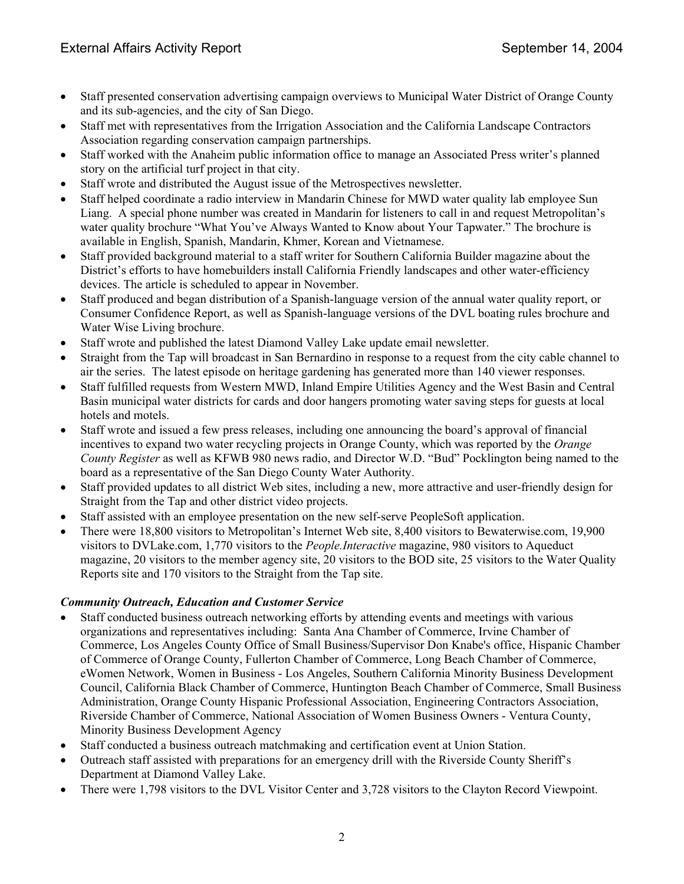- Staff presented conservation advertising campaign overviews to Municipal Water District of Orange County and its sub-agencies, and the city of San Diego.
- Staff met with representatives from the Irrigation Association and the California Landscape Contractors Association regarding conservation campaign partnerships.
- Staff worked with the Anaheim public information office to manage an Associated Press writer's planned story on the artificial turf project in that city.
- Staff wrote and distributed the August issue of the Metrospectives newsletter.
- Staff helped coordinate a radio interview in Mandarin Chinese for MWD water quality lab employee Sun Liang. A special phone number was created in Mandarin for listeners to call in and request Metropolitan's water quality brochure "What You've Always Wanted to Know about Your Tapwater." The brochure is available in English, Spanish, Mandarin, Khmer, Korean and Vietnamese.
- Staff provided background material to a staff writer for Southern California Builder magazine about the District's efforts to have homebuilders install California Friendly landscapes and other water-efficiency devices. The article is scheduled to appear in November.
- Staff produced and began distribution of a Spanish-language version of the annual water quality report, or Consumer Confidence Report, as well as Spanish-language versions of the DVL boating rules brochure and Water Wise Living brochure.
- Staff wrote and published the latest Diamond Valley Lake update email newsletter.
- Straight from the Tap will broadcast in San Bernardino in response to a request from the city cable channel to air the series. The latest episode on heritage gardening has generated more than 140 viewer responses.
- Staff fulfilled requests from Western MWD, Inland Empire Utilities Agency and the West Basin and Central Basin municipal water districts for cards and door hangers promoting water saving steps for guests at local hotels and motels.
- Staff wrote and issued a few press releases, including one announcing the board's approval of financial incentives to expand two water recycling projects in Orange County, which was reported by the *Orange County Register* as well as KFWB 980 news radio, and Director W.D. "Bud" Pocklington being named to the board as a representative of the San Diego County Water Authority.
- Staff provided updates to all district Web sites, including a new, more attractive and user-friendly design for Straight from the Tap and other district video projects.
- Staff assisted with an employee presentation on the new self-serve PeopleSoft application.
- There were 18,800 visitors to Metropolitan's Internet Web site, 8,400 visitors to Bewaterwise.com, 19,900 visitors to DVLake.com, 1,770 visitors to the *People.Interactive* magazine, 980 visitors to Aqueduct magazine, 20 visitors to the member agency site, 20 visitors to the BOD site, 25 visitors to the Water Quality Reports site and 170 visitors to the Straight from the Tap site.

### *Community Outreach, Education and Customer Service*

- Staff conducted business outreach networking efforts by attending events and meetings with various organizations and representatives including: Santa Ana Chamber of Commerce, Irvine Chamber of Commerce, Los Angeles County Office of Small Business/Supervisor Don Knabe's office, Hispanic Chamber of Commerce of Orange County, Fullerton Chamber of Commerce, Long Beach Chamber of Commerce, eWomen Network, Women in Business - Los Angeles, Southern California Minority Business Development Council, California Black Chamber of Commerce, Huntington Beach Chamber of Commerce, Small Business Administration, Orange County Hispanic Professional Association, Engineering Contractors Association, Riverside Chamber of Commerce, National Association of Women Business Owners - Ventura County, Minority Business Development Agency
- Staff conducted a business outreach matchmaking and certification event at Union Station.
- Outreach staff assisted with preparations for an emergency drill with the Riverside County Sheriff's Department at Diamond Valley Lake.
- There were 1,798 visitors to the DVL Visitor Center and 3,728 visitors to the Clayton Record Viewpoint.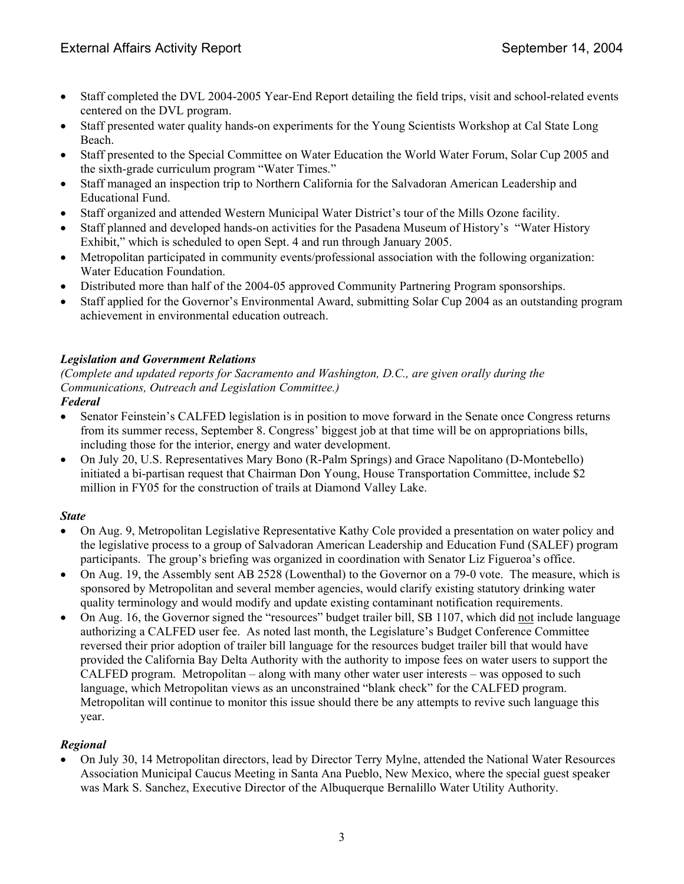- Staff completed the DVL 2004-2005 Year-End Report detailing the field trips, visit and school-related events centered on the DVL program.
- Staff presented water quality hands-on experiments for the Young Scientists Workshop at Cal State Long Beach.
- Staff presented to the Special Committee on Water Education the World Water Forum, Solar Cup 2005 and the sixth-grade curriculum program "Water Times."
- Staff managed an inspection trip to Northern California for the Salvadoran American Leadership and Educational Fund.
- Staff organized and attended Western Municipal Water District's tour of the Mills Ozone facility.
- Staff planned and developed hands-on activities for the Pasadena Museum of History's "Water History Exhibit," which is scheduled to open Sept. 4 and run through January 2005.
- Metropolitan participated in community events/professional association with the following organization: Water Education Foundation.
- Distributed more than half of the 2004-05 approved Community Partnering Program sponsorships.
- Staff applied for the Governor's Environmental Award, submitting Solar Cup 2004 as an outstanding program achievement in environmental education outreach.

## *Legislation and Government Relations*

*(Complete and updated reports for Sacramento and Washington, D.C., are given orally during the Communications, Outreach and Legislation Committee.) Federal* 

- Senator Feinstein's CALFED legislation is in position to move forward in the Senate once Congress returns from its summer recess, September 8. Congress' biggest job at that time will be on appropriations bills, including those for the interior, energy and water development.
- On July 20, U.S. Representatives Mary Bono (R-Palm Springs) and Grace Napolitano (D-Montebello) initiated a bi-partisan request that Chairman Don Young, House Transportation Committee, include \$2 million in FY05 for the construction of trails at Diamond Valley Lake.

## *State*

- On Aug. 9, Metropolitan Legislative Representative Kathy Cole provided a presentation on water policy and the legislative process to a group of Salvadoran American Leadership and Education Fund (SALEF) program participants. The group's briefing was organized in coordination with Senator Liz Figueroa's office.
- On Aug. 19, the Assembly sent AB 2528 (Lowenthal) to the Governor on a 79-0 vote. The measure, which is sponsored by Metropolitan and several member agencies, would clarify existing statutory drinking water quality terminology and would modify and update existing contaminant notification requirements.
- On Aug. 16, the Governor signed the "resources" budget trailer bill, SB 1107, which did not include language authorizing a CALFED user fee. As noted last month, the Legislature's Budget Conference Committee reversed their prior adoption of trailer bill language for the resources budget trailer bill that would have provided the California Bay Delta Authority with the authority to impose fees on water users to support the CALFED program. Metropolitan – along with many other water user interests – was opposed to such language, which Metropolitan views as an unconstrained "blank check" for the CALFED program. Metropolitan will continue to monitor this issue should there be any attempts to revive such language this year.

## *Regional*

• On July 30, 14 Metropolitan directors, lead by Director Terry Mylne, attended the National Water Resources Association Municipal Caucus Meeting in Santa Ana Pueblo, New Mexico, where the special guest speaker was Mark S. Sanchez, Executive Director of the Albuquerque Bernalillo Water Utility Authority.